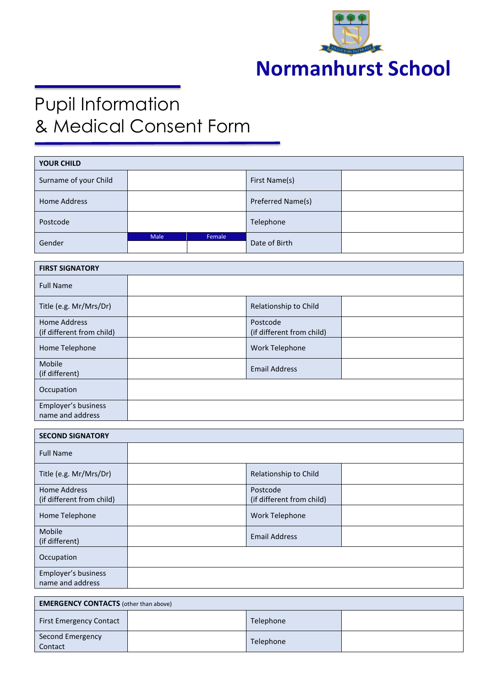

## Pupil Information & Medical Consent Form

| <b>YOUR CHILD</b>      |      |        |                   |  |
|------------------------|------|--------|-------------------|--|
| Surname of your Child  |      |        | First Name(s)     |  |
| Home Address           |      |        | Preferred Name(s) |  |
| Postcode               |      |        | Telephone         |  |
| Gender                 | Male | Female | Date of Birth     |  |
|                        |      |        |                   |  |
| <b>FIRST SIGNATORY</b> |      |        |                   |  |

| <b>Full Name</b>          |                           |  |
|---------------------------|---------------------------|--|
| Title (e.g. Mr/Mrs/Dr)    | Relationship to Child     |  |
| <b>Home Address</b>       | Postcode                  |  |
|                           |                           |  |
| (if different from child) | (if different from child) |  |
| Home Telephone            | <b>Work Telephone</b>     |  |
| Mobile                    |                           |  |
|                           | <b>Email Address</b>      |  |
| (if different)            |                           |  |
| Occupation                |                           |  |
| Employer's business       |                           |  |
|                           |                           |  |
| name and address          |                           |  |

| <b>SECOND SIGNATORY</b>                          |                                       |  |
|--------------------------------------------------|---------------------------------------|--|
| <b>Full Name</b>                                 |                                       |  |
| Title (e.g. Mr/Mrs/Dr)                           | Relationship to Child                 |  |
| <b>Home Address</b><br>(if different from child) | Postcode<br>(if different from child) |  |
| Home Telephone                                   | Work Telephone                        |  |
| Mobile<br>(if different)                         | <b>Email Address</b>                  |  |
| Occupation                                       |                                       |  |
| Employer's business<br>name and address          |                                       |  |

| <b>EMERGENCY CONTACTS</b> (other than above) |  |           |  |
|----------------------------------------------|--|-----------|--|
| <b>First Emergency Contact</b>               |  | Telephone |  |
| Second Emergency<br>Contact                  |  | Telephone |  |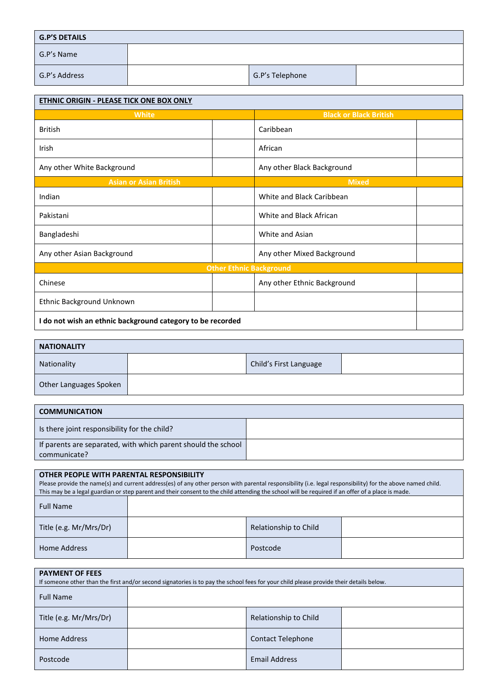| <b>G.P'S DETAILS</b> |  |                 |  |
|----------------------|--|-----------------|--|
| G.P's Name           |  |                 |  |
| G.P's Address        |  | G.P's Telephone |  |

| ETHNIC ORIGIN - PLEASE TICK ONE BOX ONLY                   |                                |                               |  |
|------------------------------------------------------------|--------------------------------|-------------------------------|--|
| <b>White</b>                                               |                                | <b>Black or Black British</b> |  |
| <b>British</b>                                             |                                | Caribbean                     |  |
| Irish                                                      |                                | African                       |  |
| Any other White Background                                 |                                | Any other Black Background    |  |
| <b>Asian or Asian British</b>                              |                                | <b>Mixed</b>                  |  |
| Indian                                                     |                                | White and Black Caribbean     |  |
| Pakistani                                                  |                                | White and Black African       |  |
| Bangladeshi                                                |                                | White and Asian               |  |
| Any other Asian Background                                 |                                | Any other Mixed Background    |  |
|                                                            | <b>Other Ethnic Background</b> |                               |  |
| Chinese                                                    |                                | Any other Ethnic Background   |  |
| Ethnic Background Unknown                                  |                                |                               |  |
| I do not wish an ethnic background category to be recorded |                                |                               |  |

| <b>NATIONALITY</b>     |  |                        |  |
|------------------------|--|------------------------|--|
| Nationality            |  | Child's First Language |  |
| Other Languages Spoken |  |                        |  |

| I COMMUNICATION                                                               |  |  |
|-------------------------------------------------------------------------------|--|--|
| I is there joint responsibility for the child?                                |  |  |
| If parents are separated, with which parent should the school<br>communicate? |  |  |

| OTHER PEOPLE WITH PARENTAL RESPONSIBILITY<br>Please provide the name(s) and current address(es) of any other person with parental responsibility (i.e. legal responsibility) for the above named child.<br>This may be a legal guardian or step parent and their consent to the child attending the school will be required if an offer of a place is made. |          |                       |  |  |
|-------------------------------------------------------------------------------------------------------------------------------------------------------------------------------------------------------------------------------------------------------------------------------------------------------------------------------------------------------------|----------|-----------------------|--|--|
| <b>Full Name</b>                                                                                                                                                                                                                                                                                                                                            |          |                       |  |  |
| Title (e.g. Mr/Mrs/Dr)                                                                                                                                                                                                                                                                                                                                      |          | Relationship to Child |  |  |
| Home Address                                                                                                                                                                                                                                                                                                                                                | Postcode |                       |  |  |

| <b>PAYMENT OF FEES</b><br>If someone other than the first and/or second signatories is to pay the school fees for your child please provide their details below. |  |                          |  |
|------------------------------------------------------------------------------------------------------------------------------------------------------------------|--|--------------------------|--|
| <b>Full Name</b>                                                                                                                                                 |  |                          |  |
| Title (e.g. Mr/Mrs/Dr)                                                                                                                                           |  | Relationship to Child    |  |
| Home Address                                                                                                                                                     |  | <b>Contact Telephone</b> |  |
| Postcode                                                                                                                                                         |  | <b>Email Address</b>     |  |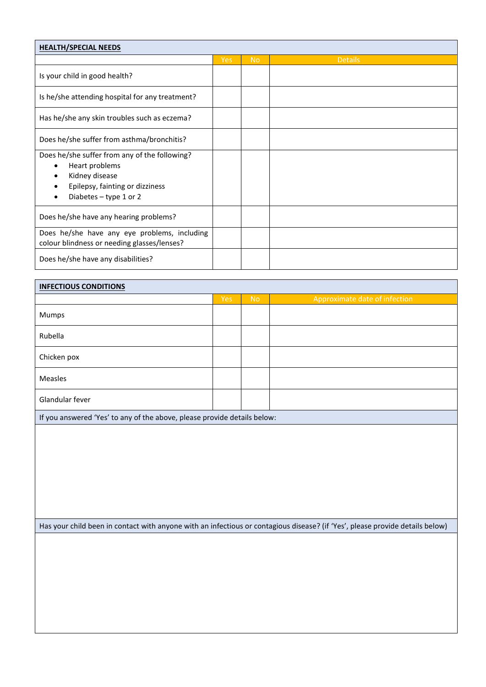| <b>HEALTH/SPECIAL NEEDS</b>                                                                                                                                        |            |           |                |  |
|--------------------------------------------------------------------------------------------------------------------------------------------------------------------|------------|-----------|----------------|--|
|                                                                                                                                                                    | <b>Yes</b> | <b>No</b> | <b>Details</b> |  |
| Is your child in good health?                                                                                                                                      |            |           |                |  |
| Is he/she attending hospital for any treatment?                                                                                                                    |            |           |                |  |
| Has he/she any skin troubles such as eczema?                                                                                                                       |            |           |                |  |
| Does he/she suffer from asthma/bronchitis?                                                                                                                         |            |           |                |  |
| Does he/she suffer from any of the following?<br>Heart problems<br>$\bullet$<br>Kidney disease<br>٠<br>Epilepsy, fainting or dizziness<br>Diabetes $-$ type 1 or 2 |            |           |                |  |
| Does he/she have any hearing problems?                                                                                                                             |            |           |                |  |
| Does he/she have any eye problems, including<br>colour blindness or needing glasses/lenses?                                                                        |            |           |                |  |
| Does he/she have any disabilities?                                                                                                                                 |            |           |                |  |

| <b>INFECTIOUS CONDITIONS</b>                                                                                                                                                                                                                            |     |           |                               |  |
|---------------------------------------------------------------------------------------------------------------------------------------------------------------------------------------------------------------------------------------------------------|-----|-----------|-------------------------------|--|
|                                                                                                                                                                                                                                                         | Yes | <b>No</b> | Approximate date of infection |  |
| Mumps                                                                                                                                                                                                                                                   |     |           |                               |  |
| Rubella                                                                                                                                                                                                                                                 |     |           |                               |  |
| Chicken pox                                                                                                                                                                                                                                             |     |           |                               |  |
| Measles                                                                                                                                                                                                                                                 |     |           |                               |  |
| Glandular fever                                                                                                                                                                                                                                         |     |           |                               |  |
| $\cdot$ $\sim$<br>$\mathbf{a}$ and $\mathbf{a}$ are the contract of the contract of the contract of the contract of the contract of the contract of the contract of the contract of the contract of the contract of the contract of the contract of the |     |           |                               |  |

If you answered 'Yes' to any of the above, please provide details below:

Has your child been in contact with anyone with an infectious or contagious disease? (if 'Yes', please provide details below)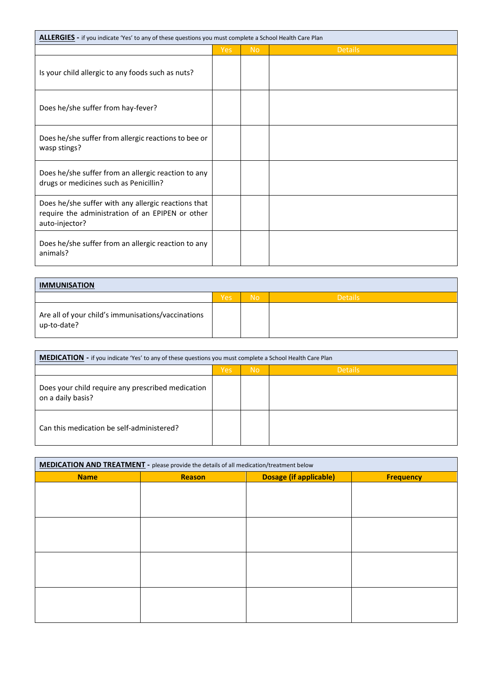| <b>ALLERGIES</b> - if you indicate 'Yes' to any of these questions you must complete a School Health Care Plan            |            |           |                |
|---------------------------------------------------------------------------------------------------------------------------|------------|-----------|----------------|
|                                                                                                                           | <b>Yes</b> | <b>No</b> | <b>Details</b> |
| Is your child allergic to any foods such as nuts?                                                                         |            |           |                |
| Does he/she suffer from hay-fever?                                                                                        |            |           |                |
| Does he/she suffer from allergic reactions to bee or<br>wasp stings?                                                      |            |           |                |
| Does he/she suffer from an allergic reaction to any<br>drugs or medicines such as Penicillin?                             |            |           |                |
| Does he/she suffer with any allergic reactions that<br>require the administration of an EPIPEN or other<br>auto-injector? |            |           |                |
| Does he/she suffer from an allergic reaction to any<br>animals?                                                           |            |           |                |

| <b>IMMUNISATION</b>                                               |     |           |                |
|-------------------------------------------------------------------|-----|-----------|----------------|
|                                                                   | Yes | <b>No</b> | <b>Details</b> |
| Are all of your child's immunisations/vaccinations<br>up-to-date? |     |           |                |

| MEDICATION - if you indicate 'Yes' to any of these questions you must complete a School Health Care Plan |     |           |                |
|----------------------------------------------------------------------------------------------------------|-----|-----------|----------------|
|                                                                                                          | Yes | <b>No</b> | <b>Details</b> |
| Does your child require any prescribed medication<br>on a daily basis?                                   |     |           |                |
| Can this medication be self-administered?                                                                |     |           |                |

| MEDICATION AND TREATMENT - please provide the details of all medication/treatment below |               |                               |                  |  |
|-----------------------------------------------------------------------------------------|---------------|-------------------------------|------------------|--|
| <b>Name</b>                                                                             | <b>Reason</b> | <b>Dosage (if applicable)</b> | <b>Frequency</b> |  |
|                                                                                         |               |                               |                  |  |
|                                                                                         |               |                               |                  |  |
|                                                                                         |               |                               |                  |  |
|                                                                                         |               |                               |                  |  |
|                                                                                         |               |                               |                  |  |
|                                                                                         |               |                               |                  |  |
|                                                                                         |               |                               |                  |  |
|                                                                                         |               |                               |                  |  |
|                                                                                         |               |                               |                  |  |
|                                                                                         |               |                               |                  |  |
|                                                                                         |               |                               |                  |  |
|                                                                                         |               |                               |                  |  |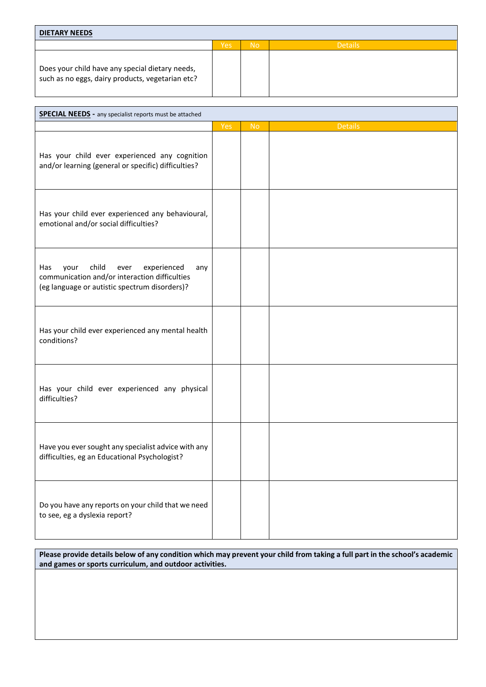| <b>DIETARY NEEDS</b>                                                                                |            |           |                |
|-----------------------------------------------------------------------------------------------------|------------|-----------|----------------|
|                                                                                                     | <b>Yes</b> | <b>No</b> | <b>Details</b> |
| Does your child have any special dietary needs,<br>such as no eggs, dairy products, vegetarian etc? |            |           |                |

| <b>SPECIAL NEEDS - any specialist reports must be attached</b>                                                                                       |            |                |                |  |
|------------------------------------------------------------------------------------------------------------------------------------------------------|------------|----------------|----------------|--|
|                                                                                                                                                      | <b>Yes</b> | N <sub>o</sub> | <b>Details</b> |  |
| Has your child ever experienced any cognition<br>and/or learning (general or specific) difficulties?                                                 |            |                |                |  |
| Has your child ever experienced any behavioural,<br>emotional and/or social difficulties?                                                            |            |                |                |  |
| child<br>experienced<br>Has<br>your<br>ever<br>any<br>communication and/or interaction difficulties<br>(eg language or autistic spectrum disorders)? |            |                |                |  |
| Has your child ever experienced any mental health<br>conditions?                                                                                     |            |                |                |  |
| Has your child ever experienced any physical<br>difficulties?                                                                                        |            |                |                |  |
| Have you ever sought any specialist advice with any<br>difficulties, eg an Educational Psychologist?                                                 |            |                |                |  |
| Do you have any reports on your child that we need<br>to see, eg a dyslexia report?                                                                  |            |                |                |  |

**Please provide details below of any condition which may prevent your child from taking a full part in the school's academic and games or sports curriculum, and outdoor activities.**